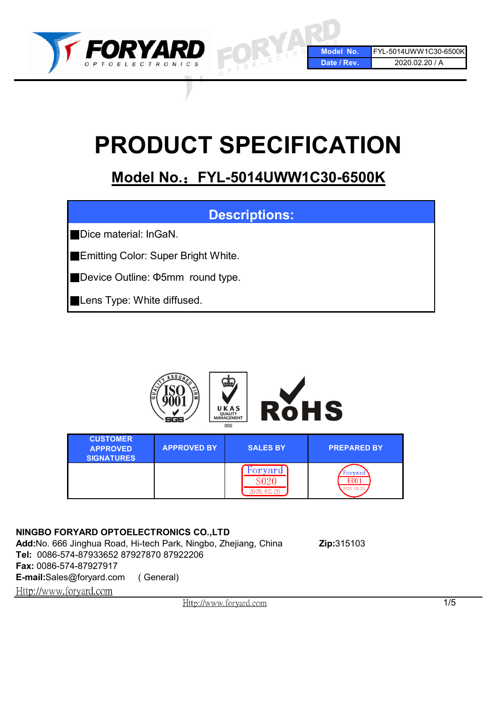

# PRODUCT SPECIFICATION

# Model No.:FYL-5014UWW1C30-6500K

# Descriptions:

■Dice material: InGaN.

■Emitting Color: Super Bright White.

■Device Outline: Φ5mm round type.

**Lens Type: White diffused.** 

| a                                                       | $S S U_D$<br>ᠴ     | <b>RòHS</b><br>UKAS<br><b>QUALITY<br/>MANAGEMENT</b><br>005 |                                 |
|---------------------------------------------------------|--------------------|-------------------------------------------------------------|---------------------------------|
| <b>CUSTOMER</b><br><b>APPROVED</b><br><b>SIGNATURES</b> | <b>APPROVED BY</b> | <b>SALES BY</b>                                             | <b>PREPARED BY</b>              |
|                                                         |                    | Foryard<br>S <sub>0</sub> 20<br>2020.02.20                  | Foryard<br>E001<br>2020, 02, 20 |

# NINGBO FORYARD OPTOELECTRONICS CO.,LTD

Add:No. 666 Jinghua Road, Hi-tech Park, Ningbo, Zhejiang, China Zip:315103 Tel: 0086-574-87933652 87927870 87922206 Fax: 0086-574-87927917 E-mail:Sales@foryard.com ( General)

Http://www.foryard.com

Http://www.foryard.com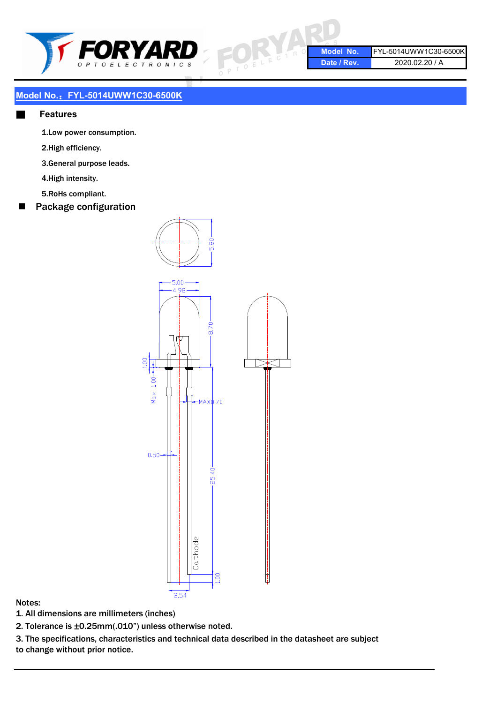

Model No. Date / Rev. FYL-5014UWW1C30-6500K 2020.02.20 / A

## Model No.:FYL-5014UWW1C30-6500K

#### **Features**

1.Low power consumption.

- 2.High efficiency.
- 3.General purpose leads.
- 4.High intensity.

5.RoHs compliant.

■ Package configuration



#### Notes:

1. All dimensions are millimeters (inches)

2. Tolerance is ±0.25mm(.010") unless otherwise noted.

3. The specifications, characteristics and technical data described in the datasheet are subject to change without prior notice.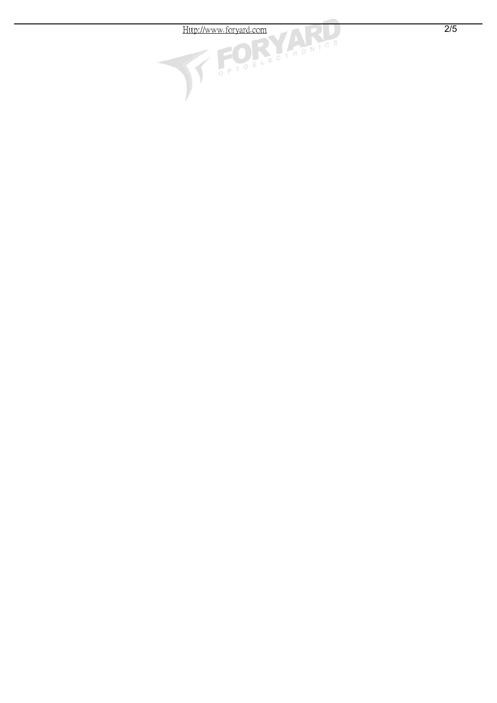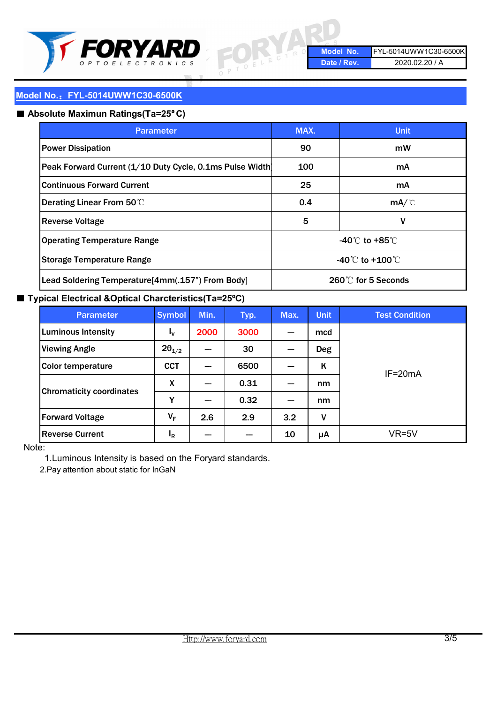

# Model No.:FYL-5014UWW1C30-6500K

# ■ Absolute Maximun Ratings(Ta=25°C)

| <b>Parameter</b>                                          | MAX.                               | <b>Unit</b>          |  |
|-----------------------------------------------------------|------------------------------------|----------------------|--|
| <b>Power Dissipation</b>                                  | 90                                 | mW                   |  |
| Peak Forward Current (1/10 Duty Cycle, 0.1ms Pulse Width) | 100                                | mA                   |  |
| <b>Continuous Forward Current</b>                         | 25                                 | mA                   |  |
| Derating Linear From 50°C                                 | 0.4                                | $mA/^\circ \text{C}$ |  |
| <b>Reverse Voltage</b>                                    | 5                                  | v                    |  |
| <b>Operating Temperature Range</b>                        | -40 $\degree$ C to +85 $\degree$ C |                      |  |
| <b>Storage Temperature Range</b>                          | $-40^{\circ}$ to $+100^{\circ}$    |                      |  |
| Lead Soldering Temperature[4mm(.157") From Body]          | $260^\circ\text{C}$ for 5 Seconds  |                      |  |

# ■ Typical Electrical &Optical Charcteristics(Ta=25°C)

| <b>Parameter</b>                | <b>Symbol</b>   | Min. | Typ. | Max. | <b>Unit</b> | <b>Test Condition</b> |
|---------------------------------|-----------------|------|------|------|-------------|-----------------------|
| <b>Luminous Intensity</b>       | $I_{V}$         | 2000 | 3000 |      | mcd         |                       |
| <b>Viewing Angle</b>            | $2\theta_{1/2}$ |      | 30   |      | <b>Deg</b>  |                       |
| <b>Color temperature</b>        | <b>CCT</b>      |      | 6500 |      | K           | $IF=20mA$             |
| <b>Chromaticity coordinates</b> | X               |      | 0.31 |      | nm          |                       |
|                                 | Y               |      | 0.32 |      | nm          |                       |
| <b>Forward Voltage</b>          | $V_F$           | 2.6  | 2.9  | 3.2  | V           |                       |
| <b>Reverse Current</b>          | I <sub>R</sub>  |      |      | 10   | μA          | VR=5V                 |

### Note:

1.Luminous Intensity is based on the Foryard standards.

2.Pay attention about static for InGaN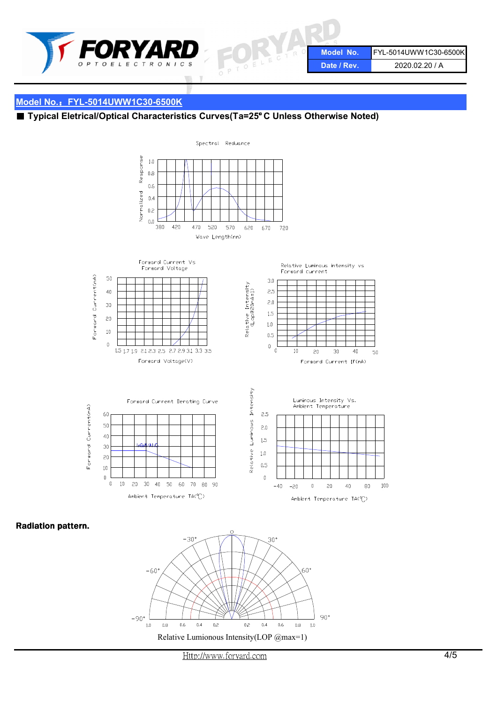

Model No. Date / Rev. FYL-5014UWW1C30-6500K 2020.02.20 / A

### Model No.:FYL-5014UWW1C30-6500K

■ Typical Eletrical/Optical Characteristics Curves(Ta=25°C Unless Otherwise Noted)



 $90^{\circ}$ 

 $1.0$